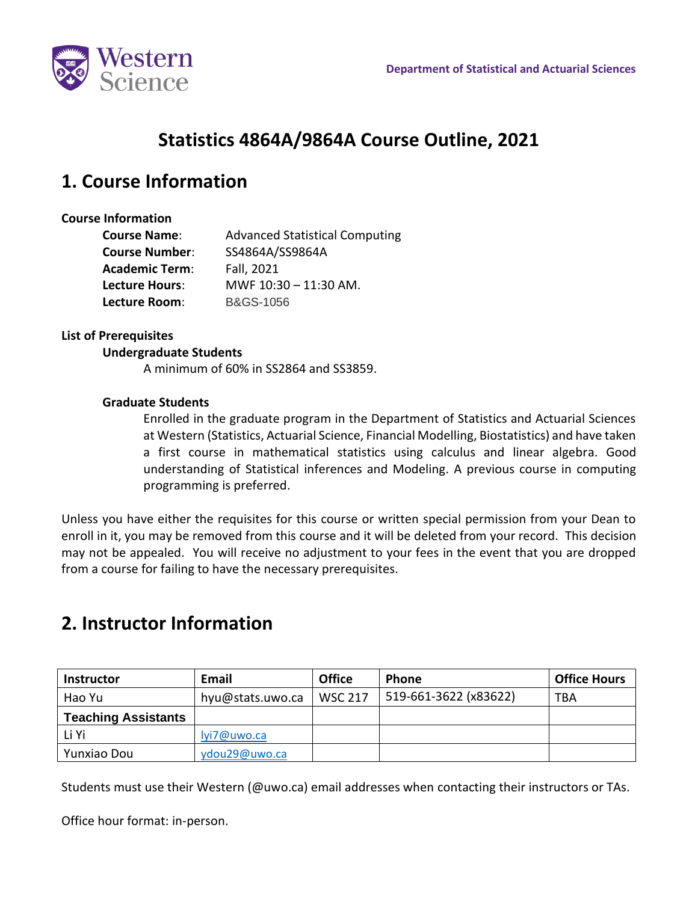

# **Statistics 4864A/9864A Course Outline, 2021**

### **1. Course Information**

### **Course Information**

| <b>Course Name:</b>   | <b>Advanced Statistical Computing</b> |  |  |
|-----------------------|---------------------------------------|--|--|
| <b>Course Number:</b> | SS4864A/SS9864A                       |  |  |
| <b>Academic Term:</b> | Fall, 2021                            |  |  |
| <b>Lecture Hours:</b> | MWF 10:30 - 11:30 AM.                 |  |  |
| Lecture Room:         | <b>B&amp;GS-1056</b>                  |  |  |

### **List of Prerequisites**

#### **Undergraduate Students**

A minimum of 60% in SS2864 and SS3859.

#### **Graduate Students**

Enrolled in the graduate program in the Department of Statistics and Actuarial Sciences at Western (Statistics, Actuarial Science, Financial Modelling, Biostatistics) and have taken a first course in mathematical statistics using calculus and linear algebra. Good understanding of Statistical inferences and Modeling. A previous course in computing programming is preferred.

Unless you have either the requisites for this course or written special permission from your Dean to enroll in it, you may be removed from this course and it will be deleted from your record. This decision may not be appealed. You will receive no adjustment to your fees in the event that you are dropped from a course for failing to have the necessary prerequisites.

# **2. Instructor Information**

| <b>Instructor</b>          | Email            | <b>Office</b>  | <b>Phone</b>          | <b>Office Hours</b> |
|----------------------------|------------------|----------------|-----------------------|---------------------|
| Hao Yu                     | hyu@stats.uwo.ca | <b>WSC 217</b> | 519-661-3622 (x83622) | <b>TBA</b>          |
| <b>Teaching Assistants</b> |                  |                |                       |                     |
| Li Yi                      | lyi7@uwo.ca      |                |                       |                     |
| Yunxiao Dou                | ydou29@uwo.ca    |                |                       |                     |

Students must use their Western (@uwo.ca) email addresses when contacting their instructors or TAs.

Office hour format: in-person.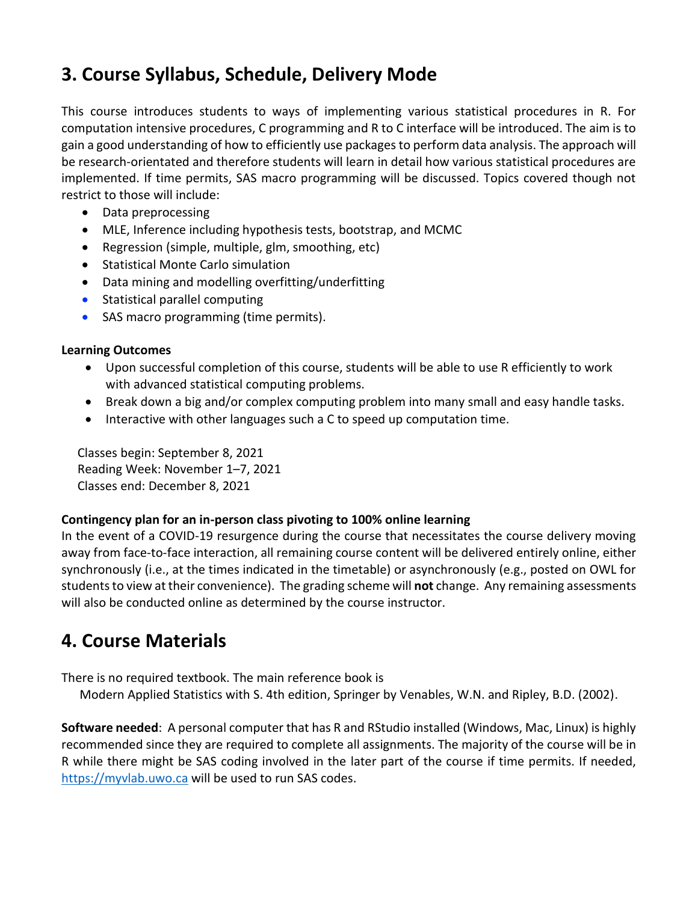# **3. Course Syllabus, Schedule, Delivery Mode**

This course introduces students to ways of implementing various statistical procedures in R. For computation intensive procedures, C programming and R to C interface will be introduced. The aim is to gain a good understanding of how to efficiently use packages to perform data analysis. The approach will be research-orientated and therefore students will learn in detail how various statistical procedures are implemented. If time permits, SAS macro programming will be discussed. Topics covered though not restrict to those will include:

- Data preprocessing
- MLE, Inference including hypothesis tests, bootstrap, and MCMC
- Regression (simple, multiple, glm, smoothing, etc)
- Statistical Monte Carlo simulation
- Data mining and modelling overfitting/underfitting
- Statistical parallel computing
- SAS macro programming (time permits).

### **Learning Outcomes**

- Upon successful completion of this course, students will be able to use R efficiently to work with advanced statistical computing problems.
- Break down a big and/or complex computing problem into many small and easy handle tasks.
- Interactive with other languages such a C to speed up computation time.

Classes begin: September 8, 2021 Reading Week: November 1–7, 2021 Classes end: December 8, 2021

### **Contingency plan for an in-person class pivoting to 100% online learning**

In the event of a COVID-19 resurgence during the course that necessitates the course delivery moving away from face-to-face interaction, all remaining course content will be delivered entirely online, either synchronously (i.e., at the times indicated in the timetable) or asynchronously (e.g., posted on OWL for students to view at their convenience). The grading scheme will **not** change. Any remaining assessments will also be conducted online as determined by the course instructor.

### **4. Course Materials**

There is no required textbook. The main reference book is

Modern Applied Statistics with S. 4th edition, Springer by Venables, W.N. and Ripley, B.D. (2002).

**Software needed**: A personal computer that has R and RStudio installed (Windows, Mac, Linux) is highly recommended since they are required to complete all assignments. The majority of the course will be in R while there might be SAS coding involved in the later part of the course if time permits. If needed, [https://myvlab.uwo.ca](https://myvlab.uwo.ca/) will be used to run SAS codes.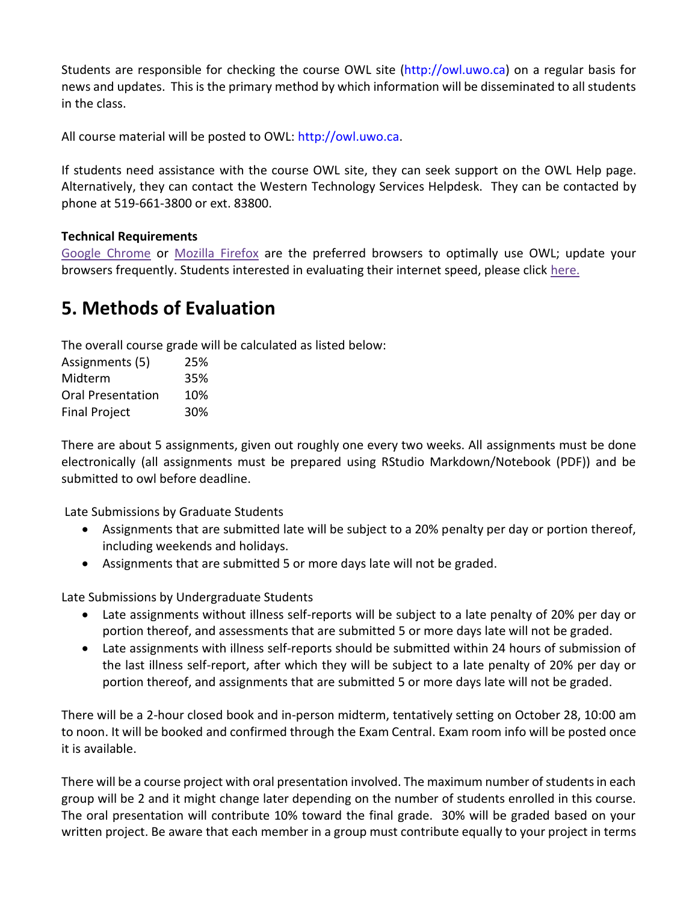Students are responsible for checking the course OWL site (http://owl.uwo.ca) on a regular basis for news and updates. This is the primary method by which information will be disseminated to all students in the class.

All course material will be posted to OWL: http://owl.uwo.ca.

If students need assistance with the course OWL site, they can seek support on the OWL Help page. Alternatively, they can contact the Western Technology Services Helpdesk. They can be contacted by phone at 519-661-3800 or ext. 83800.

### **Technical Requirements**

[Google Chrome](https://www.google.ca/chrome/?brand=CHBD&gclid=CjwKCAjwxLH3BRApEiwAqX9arfg8JaH6fWGASk9bHTkfW_dyBir93A1-TliP-7u1Kguf-WZsoGAPhBoC9NYQAvD_BwE&gclsrc=aw.ds) or [Mozilla Firefox](https://www.mozilla.org/en-CA/) are the preferred browsers to optimally use OWL; update your browsers frequently. Students interested in evaluating their internet speed, please click [here.](https://www.google.com/search?q=internet+speed+test+google&rlz=1C5CHFA_enCA702CA702&oq=internet+speed+test+google&aqs=chrome..69i57j0l7.3608j0j4&sourceid=chrome&ie=UTF-8)

### **5. Methods of Evaluation**

The overall course grade will be calculated as listed below:

| Assignments (5)          | 25% |
|--------------------------|-----|
| Midterm                  | 35% |
| <b>Oral Presentation</b> | 10% |
| <b>Final Project</b>     | 30% |

There are about 5 assignments, given out roughly one every two weeks. All assignments must be done electronically (all assignments must be prepared using RStudio Markdown/Notebook (PDF)) and be submitted to owl before deadline.

Late Submissions by Graduate Students

- Assignments that are submitted late will be subject to a 20% penalty per day or portion thereof, including weekends and holidays.
- Assignments that are submitted 5 or more days late will not be graded.

Late Submissions by Undergraduate Students

- Late assignments without illness self-reports will be subject to a late penalty of 20% per day or portion thereof, and assessments that are submitted 5 or more days late will not be graded.
- Late assignments with illness self-reports should be submitted within 24 hours of submission of the last illness self-report, after which they will be subject to a late penalty of 20% per day or portion thereof, and assignments that are submitted 5 or more days late will not be graded.

There will be a 2-hour closed book and in-person midterm, tentatively setting on October 28, 10:00 am to noon. It will be booked and confirmed through the Exam Central. Exam room info will be posted once it is available.

There will be a course project with oral presentation involved. The maximum number of students in each group will be 2 and it might change later depending on the number of students enrolled in this course. The oral presentation will contribute 10% toward the final grade. 30% will be graded based on your written project. Be aware that each member in a group must contribute equally to your project in terms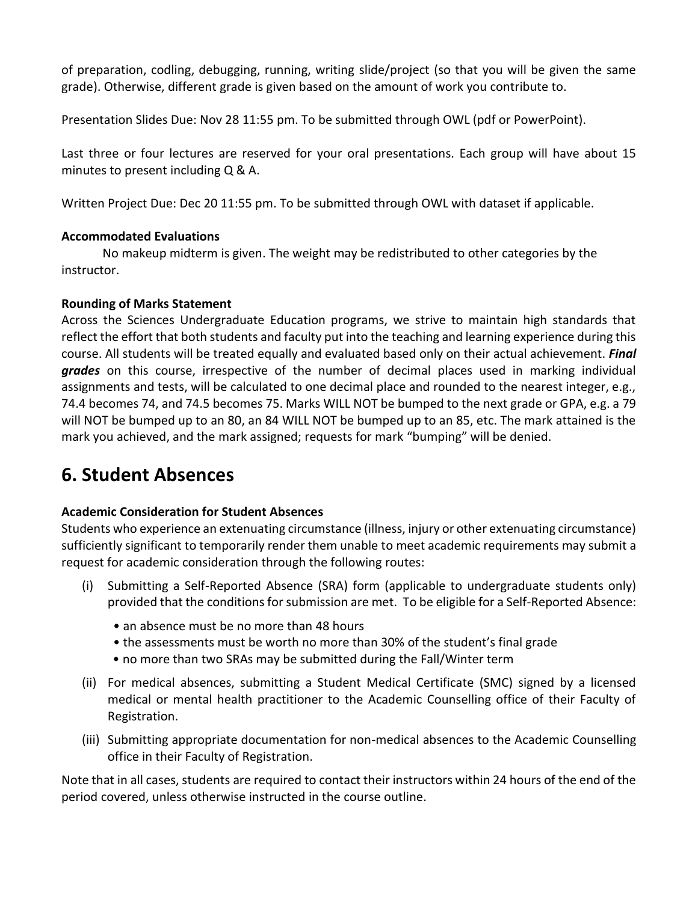of preparation, codling, debugging, running, writing slide/project (so that you will be given the same grade). Otherwise, different grade is given based on the amount of work you contribute to.

Presentation Slides Due: Nov 28 11:55 pm. To be submitted through OWL (pdf or PowerPoint).

Last three or four lectures are reserved for your oral presentations. Each group will have about 15 minutes to present including Q & A.

Written Project Due: Dec 20 11:55 pm. To be submitted through OWL with dataset if applicable.

### **Accommodated Evaluations**

No makeup midterm is given. The weight may be redistributed to other categories by the instructor.

### **Rounding of Marks Statement**

Across the Sciences Undergraduate Education programs, we strive to maintain high standards that reflect the effort that both students and faculty put into the teaching and learning experience during this course. All students will be treated equally and evaluated based only on their actual achievement. *Final grades* on this course, irrespective of the number of decimal places used in marking individual assignments and tests, will be calculated to one decimal place and rounded to the nearest integer, e.g., 74.4 becomes 74, and 74.5 becomes 75. Marks WILL NOT be bumped to the next grade or GPA, e.g. a 79 will NOT be bumped up to an 80, an 84 WILL NOT be bumped up to an 85, etc. The mark attained is the mark you achieved, and the mark assigned; requests for mark "bumping" will be denied.

# **6. Student Absences**

### **Academic Consideration for Student Absences**

Students who experience an extenuating circumstance (illness, injury or other extenuating circumstance) sufficiently significant to temporarily render them unable to meet academic requirements may submit a request for academic consideration through the following routes:

- (i) Submitting a Self-Reported Absence (SRA) form (applicable to undergraduate students only) provided that the conditions for submission are met. To be eligible for a Self-Reported Absence:
	- an absence must be no more than 48 hours
	- the assessments must be worth no more than 30% of the student's final grade
	- no more than two SRAs may be submitted during the Fall/Winter term
- (ii) For medical absences, submitting a Student Medical Certificate (SMC) signed by a licensed medical or mental health practitioner to the Academic Counselling office of their Faculty of Registration.
- (iii) Submitting appropriate documentation for non-medical absences to the Academic Counselling office in their Faculty of Registration.

Note that in all cases, students are required to contact their instructors within 24 hours of the end of the period covered, unless otherwise instructed in the course outline.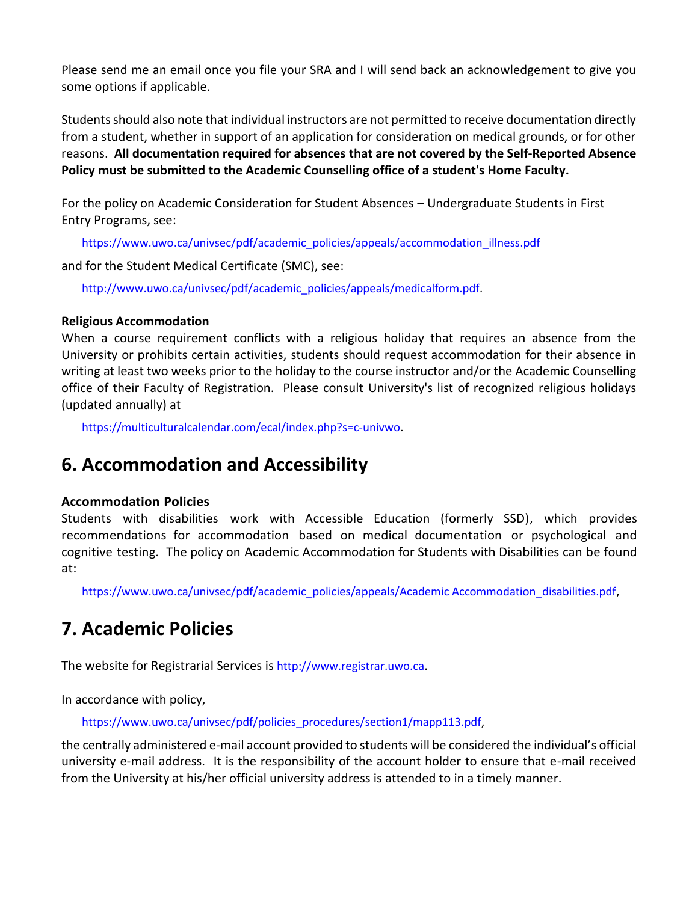Please send me an email once you file your SRA and I will send back an acknowledgement to give you some options if applicable.

Students should also note that individual instructors are not permitted to receive documentation directly from a student, whether in support of an application for consideration on medical grounds, or for other reasons. **All documentation required for absences that are not covered by the Self-Reported Absence Policy must be submitted to the Academic Counselling office of a student's Home Faculty.**

For the policy on Academic Consideration for Student Absences – Undergraduate Students in First Entry Programs, see:

https://www.uwo.ca/univsec/pdf/academic\_policies/appeals/accommodation\_illness.pdf

and for the Student Medical Certificate (SMC), see:

http://www.uwo.ca/univsec/pdf/academic\_policies/appeals/medicalform.pdf.

### **Religious Accommodation**

When a course requirement conflicts with a religious holiday that requires an absence from the University or prohibits certain activities, students should request accommodation for their absence in writing at least two weeks prior to the holiday to the course instructor and/or the Academic Counselling office of their Faculty of Registration. Please consult University's list of recognized religious holidays (updated annually) at

https://multiculturalcalendar.com/ecal/index.php?s=c-univwo.

# **6. Accommodation and Accessibility**

### **Accommodation Policies**

Students with disabilities work with Accessible Education (formerly SSD), which provides recommendations for accommodation based on medical documentation or psychological and cognitive testing. The policy on Academic Accommodation for Students with Disabilities can be found at:

https://www.uwo.ca/univsec/pdf/academic\_policies/appeals/Academic Accommodation\_disabilities.pdf,

# **7. Academic Policies**

The website for Registrarial Services is http://www.registrar.uwo.ca.

In accordance with policy,

https://www.uwo.ca/univsec/pdf/policies\_procedures/section1/mapp113.pdf,

the centrally administered e-mail account provided to students will be considered the individual's official university e-mail address. It is the responsibility of the account holder to ensure that e-mail received from the University at his/her official university address is attended to in a timely manner.